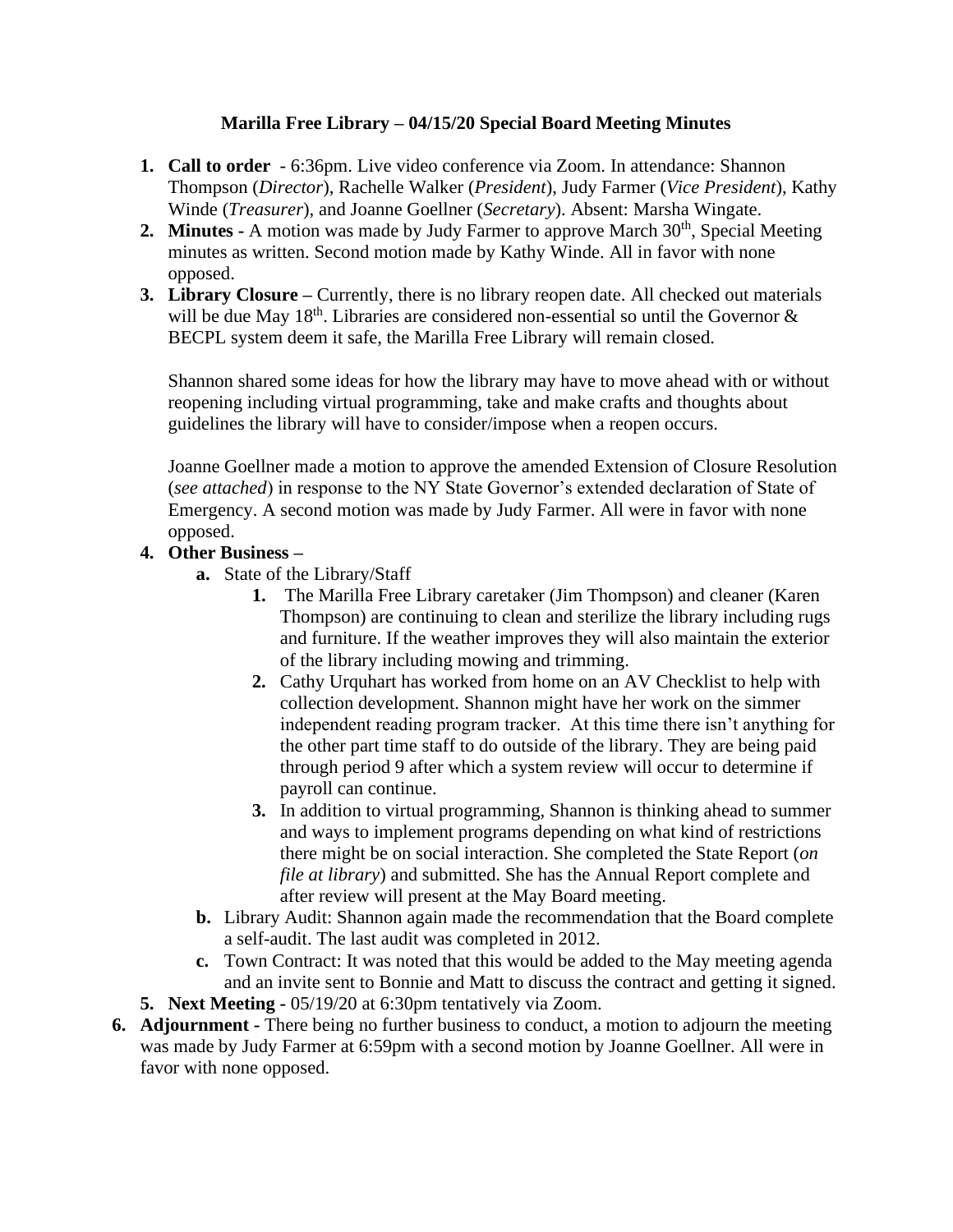## **Marilla Free Library – 04/15/20 Special Board Meeting Minutes**

- **1. Call to order**  6:36pm. Live video conference via Zoom. In attendance: Shannon Thompson (*Director*), Rachelle Walker (*President*), Judy Farmer (*Vice President*), Kathy Winde (*Treasurer*), and Joanne Goellner (*Secretary*). Absent: Marsha Wingate.
- **2. Minutes -** A motion was made by Judy Farmer to approve March 30<sup>th</sup>, Special Meeting minutes as written. Second motion made by Kathy Winde. All in favor with none opposed.
- **3. Library Closure –** Currently, there is no library reopen date. All checked out materials will be due May  $18<sup>th</sup>$ . Libraries are considered non-essential so until the Governor  $\&$ BECPL system deem it safe, the Marilla Free Library will remain closed.

Shannon shared some ideas for how the library may have to move ahead with or without reopening including virtual programming, take and make crafts and thoughts about guidelines the library will have to consider/impose when a reopen occurs.

Joanne Goellner made a motion to approve the amended Extension of Closure Resolution (*see attached*) in response to the NY State Governor's extended declaration of State of Emergency. A second motion was made by Judy Farmer. All were in favor with none opposed.

## **4. Other Business –**

- **a.** State of the Library/Staff
	- **1.** The Marilla Free Library caretaker (Jim Thompson) and cleaner (Karen Thompson) are continuing to clean and sterilize the library including rugs and furniture. If the weather improves they will also maintain the exterior of the library including mowing and trimming.
	- **2.** Cathy Urquhart has worked from home on an AV Checklist to help with collection development. Shannon might have her work on the simmer independent reading program tracker. At this time there isn't anything for the other part time staff to do outside of the library. They are being paid through period 9 after which a system review will occur to determine if payroll can continue.
	- **3.** In addition to virtual programming, Shannon is thinking ahead to summer and ways to implement programs depending on what kind of restrictions there might be on social interaction. She completed the State Report (*on file at library*) and submitted. She has the Annual Report complete and after review will present at the May Board meeting.
- **b.** Library Audit: Shannon again made the recommendation that the Board complete a self-audit. The last audit was completed in 2012.
- **c.** Town Contract: It was noted that this would be added to the May meeting agenda and an invite sent to Bonnie and Matt to discuss the contract and getting it signed.
- **5. Next Meeting -** 05/19/20 at 6:30pm tentatively via Zoom.
- **6. Adjournment -** There being no further business to conduct, a motion to adjourn the meeting was made by Judy Farmer at 6:59pm with a second motion by Joanne Goellner. All were in favor with none opposed.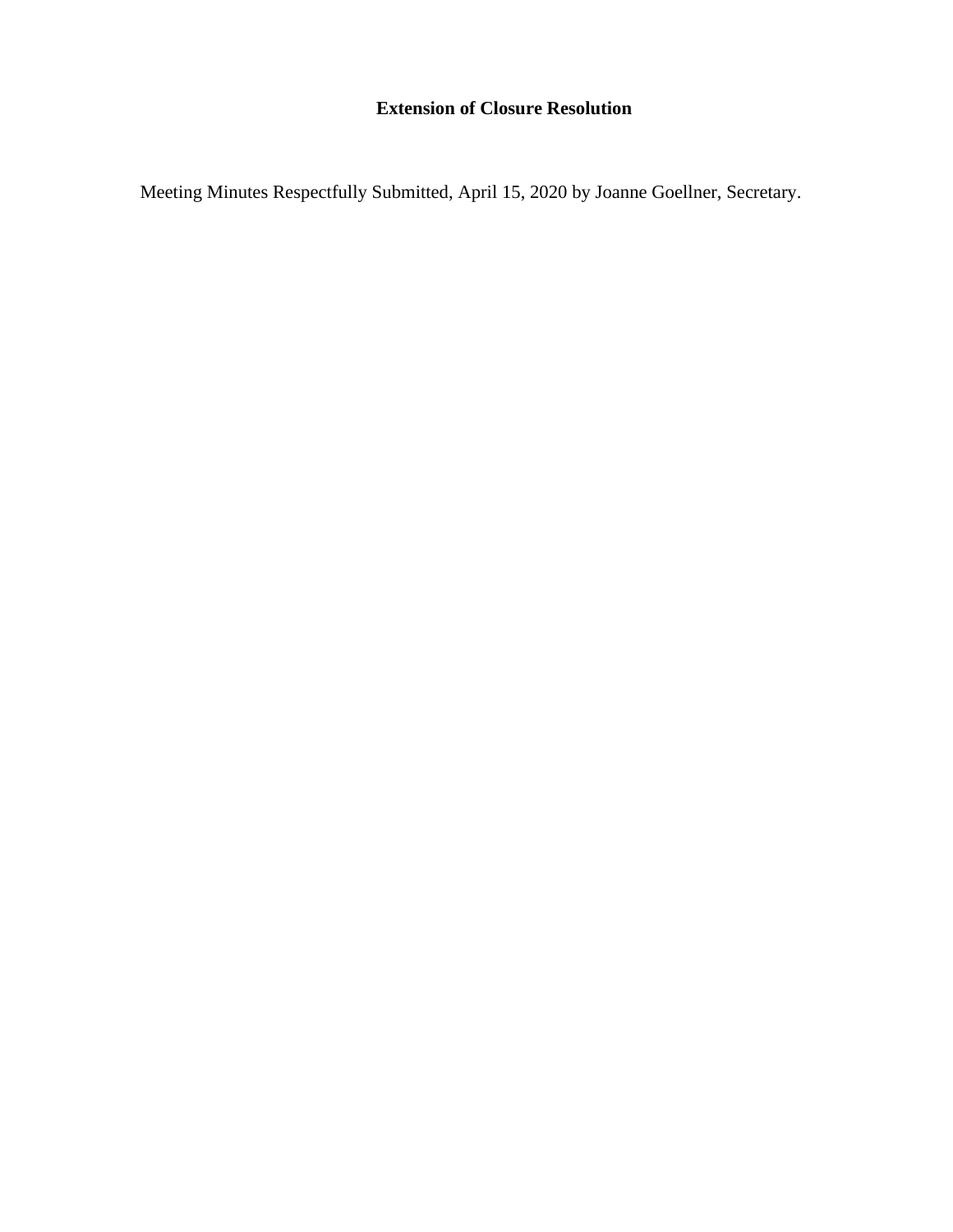## **Extension of Closure Resolution**

Meeting Minutes Respectfully Submitted, April 15, 2020 by Joanne Goellner, Secretary.